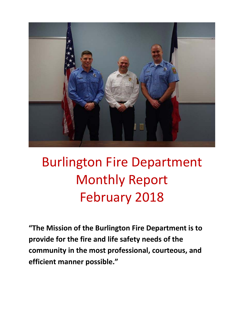

# Burlington Fire Department Monthly Report February 2018

**"The Mission of the Burlington Fire Department is to provide for the fire and life safety needs of the community in the most professional, courteous, and efficient manner possible."**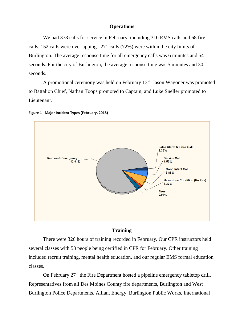#### **Operations**

We had 378 calls for service in February, including 310 EMS calls and 68 fire calls. 152 calls were overlapping. 271 calls (72%) were within the city limits of Burlington. The average response time for all emergency calls was 6 minutes and 54 seconds. For the city of Burlington, the average response time was 5 minutes and 30 seconds.

A promotional ceremony was held on February  $13<sup>th</sup>$ . Jason Wagoner was promoted to Battalion Chief, Nathan Toops promoted to Captain, and Luke Sneller promoted to Lieutenant.





#### **Training**

There were 326 hours of training recorded in February. Our CPR instructors held several classes with 58 people being certified in CPR for February. Other training included recruit training, mental health education, and our regular EMS formal education classes.

On February  $27<sup>th</sup>$  the Fire Department hosted a pipeline emergency tabletop drill. Representatives from all Des Moines County fire departments, Burlington and West Burlington Police Departments, Alliant Energy, Burlington Public Works, International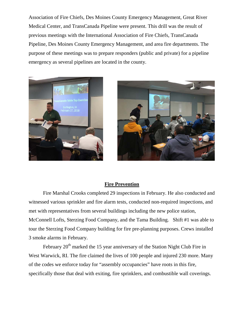Association of Fire Chiefs, Des Moines County Emergency Management, Great River Medical Center, and TransCanada Pipeline were present. This drill was the result of previous meetings with the International Association of Fire Chiefs, TransCanada Pipeline, Des Moines County Emergency Management, and area fire departments. The purpose of these meetings was to prepare responders (public and private) for a pipeline emergency as several pipelines are located in the county.





#### **Fire Prevention**

Fire Marshal Crooks completed 29 inspections in February. He also conducted and witnessed various sprinkler and fire alarm tests, conducted non-required inspections, and met with representatives from several buildings including the new police station, McConnell Lofts, Sterzing Food Company, and the Tama Building. Shift #1 was able to tour the Sterzing Food Company building for fire pre-planning purposes. Crews installed 3 smoke alarms in February.

February  $20<sup>th</sup>$  marked the 15 year anniversary of the Station Night Club Fire in West Warwick, RI. The fire claimed the lives of 100 people and injured 230 more. Many of the codes we enforce today for "assembly occupancies" have roots in this fire, specifically those that deal with exiting, fire sprinklers, and combustible wall coverings.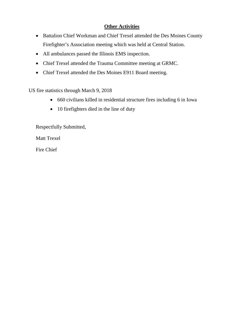### **Other Activities**

- Battalion Chief Workman and Chief Trexel attended the Des Moines County Firefighter's Association meeting which was held at Central Station.
- All ambulances passed the Illinois EMS inspection.
- Chief Trexel attended the Trauma Committee meeting at GRMC.
- Chief Trexel attended the Des Moines E911 Board meeting.

US fire statistics through March 9, 2018

- 660 civilians killed in residential structure fires including 6 in Iowa
- 10 firefighters died in the line of duty

Respectfully Submitted,

Matt Trexel

Fire Chief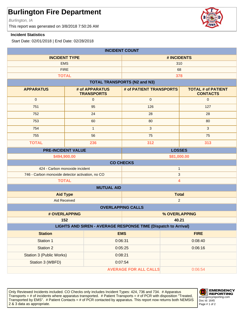Burlington, IA

This report was generated on 3/8/2018 7:50:26 AM

#### **Incident Statistics**

Start Date: 02/01/2018 | End Date: 02/28/2018

| <b>INCIDENT COUNT</b>                                                        |                     |                                     |                                     |         |                                              |
|------------------------------------------------------------------------------|---------------------|-------------------------------------|-------------------------------------|---------|----------------------------------------------|
| <b>INCIDENT TYPE</b>                                                         |                     | # INCIDENTS                         |                                     |         |                                              |
| <b>EMS</b>                                                                   |                     | 310                                 |                                     |         |                                              |
| <b>FIRE</b>                                                                  |                     |                                     | 68                                  |         |                                              |
|                                                                              | <b>TOTAL</b>        |                                     |                                     | 378     |                                              |
|                                                                              |                     |                                     | <b>TOTAL TRANSPORTS (N2 and N3)</b> |         |                                              |
| <b>APPARATUS</b>                                                             |                     | # of APPARATUS<br><b>TRANSPORTS</b> | # of PATIENT TRANSPORTS             |         | <b>TOTAL # of PATIENT</b><br><b>CONTACTS</b> |
| $\pmb{0}$                                                                    |                     | $\mathbf{0}$                        | $\pmb{0}$                           |         | $\mathbf{0}$                                 |
| 751                                                                          |                     | 95                                  | 126                                 |         | 127                                          |
| 752                                                                          |                     | 24                                  | 28                                  |         | 28                                           |
| 753                                                                          |                     | 60                                  | 80                                  |         | 80                                           |
| 754                                                                          |                     | $\mathbf{1}$                        | $\mathbf{3}$                        |         | 3                                            |
| 755                                                                          |                     | 56                                  | 75                                  |         | 75                                           |
| <b>TOTAL</b>                                                                 |                     | 236                                 | 312                                 |         | 313                                          |
| <b>PRE-INCIDENT VALUE</b>                                                    |                     |                                     | <b>LOSSES</b>                       |         |                                              |
|                                                                              | \$494,900.00        |                                     | \$81,000.00                         |         |                                              |
| <b>CO CHECKS</b>                                                             |                     |                                     |                                     |         |                                              |
| 424 - Carbon monoxide incident                                               |                     |                                     | $\mathbf{1}$                        |         |                                              |
| 746 - Carbon monoxide detector activation, no CO                             |                     |                                     | $\ensuremath{\mathsf{3}}$           |         |                                              |
| <b>TOTAL</b>                                                                 |                     |                                     | 4                                   |         |                                              |
|                                                                              |                     | <b>MUTUAL AID</b>                   |                                     |         |                                              |
| <b>Aid Type</b>                                                              |                     | <b>Total</b><br>$\sqrt{2}$          |                                     |         |                                              |
|                                                                              | <b>Aid Received</b> |                                     |                                     |         |                                              |
|                                                                              |                     |                                     | <b>OVERLAPPING CALLS</b>            |         |                                              |
|                                                                              | # OVERLAPPING       |                                     | % OVERLAPPING                       |         |                                              |
| 152<br>40.21                                                                 |                     |                                     |                                     |         |                                              |
| LIGHTS AND SIREN - AVERAGE RESPONSE TIME (Dispatch to Arrival)<br><b>EMS</b> |                     |                                     |                                     |         |                                              |
| <b>Station</b>                                                               |                     |                                     |                                     |         | <b>FIRE</b>                                  |
| Station 1                                                                    |                     | 0:06:31                             |                                     |         | 0:08:40                                      |
| <b>Station 2</b>                                                             |                     | 0:05:25                             |                                     |         | 0:06:16                                      |
| <b>Station 3 (Public Works)</b>                                              |                     | 0:08:21                             |                                     |         |                                              |
| Station 3 (WBFD)                                                             | 0:07:54             |                                     |                                     |         |                                              |
| <b>AVERAGE FOR ALL CALLS</b>                                                 |                     |                                     |                                     | 0:06:54 |                                              |

Only Reviewed Incidents included. CO Checks only includes Incident Types: 424, 736 and 734. # Apparatus Transports = # of incidents where apparatus transported. # Patient Transports = # of PCR with disposition "Treated, Transported by EMS". # Patient Contacts = # of PCR contacted by apparatus. This report now returns both NEMSIS 2 & 3 data as appropriate. The set of 2 set of 2 set of 2 set of 2 set of 2 set of 2 set of 2 set of 2 set of 2



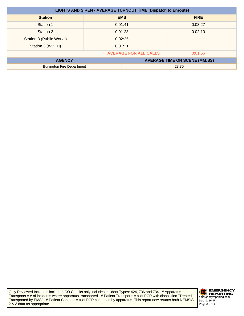| <b>LIGHTS AND SIREN - AVERAGE TURNOUT TIME (Dispatch to Enroute)</b> |         |            |                                      |
|----------------------------------------------------------------------|---------|------------|--------------------------------------|
| <b>Station</b>                                                       |         | <b>EMS</b> | <b>FIRE</b>                          |
| Station 1                                                            | 0:01:41 |            | 0:03:27                              |
| Station 2                                                            | 0:01:28 |            | 0:02:10                              |
| Station 3 (Public Works)                                             | 0:02:25 |            |                                      |
| Station 3 (WBFD)                                                     | 0:01:21 |            |                                      |
| <b>AVERAGE FOR ALL CALLS</b><br>0:01:56                              |         |            |                                      |
| <b>AGENCY</b>                                                        |         |            | <b>AVERAGE TIME ON SCENE (MM:SS)</b> |
| <b>Burlington Fire Department</b>                                    |         | 23:30      |                                      |

Only Reviewed Incidents included. CO Checks only includes Incident Types: 424, 736 and 734. # Apparatus Transports = # of incidents where apparatus transported. # Patient Transports = # of PCR with disposition "Treated, Transported by EMS". # Patient Contacts = # of PCR contacted by apparatus. This report now returns both NEMSIS 2 & 3 data as appropriate.

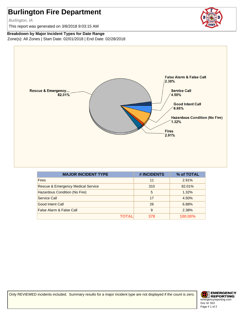Burlington, IA

This report was generated on 3/8/2018 9:03:15 AM



#### **Breakdown by Major Incident Types for Date Range**

Zone(s): All Zones | Start Date: 02/01/2018 | End Date: 02/28/2018



| <b>MAJOR INCIDENT TYPE</b>         | # INCIDENTS | % of TOTAL     |
|------------------------------------|-------------|----------------|
| <b>Fires</b>                       | 11          | 2.91%          |
| Rescue & Emergency Medical Service | 310         | 82.01%         |
| Hazardous Condition (No Fire)      | 5           | 1.32%          |
| Service Call                       | 17          | 4.50%          |
| Good Intent Call                   | 26          | 6.88%          |
| False Alarm & False Call           | 9           | 2.38%          |
| ΤΟΤΑL                              | 378         | <b>100.00%</b> |

Only REVIEWED incidents included. Summary results for a major incident type are not displayed if the count is zero.

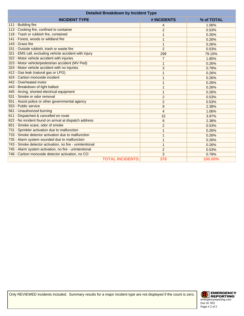| <b>Detailed Breakdown by Incident Type</b>               |                |            |  |
|----------------------------------------------------------|----------------|------------|--|
| <b>INCIDENT TYPE</b>                                     | # INCIDENTS    | % of TOTAL |  |
| 111 - Building fire                                      | 4              | 1.06%      |  |
| 113 - Cooking fire, confined to container                | 2              | 0.53%      |  |
| 118 - Trash or rubbish fire, contained                   | 1              | 0.26%      |  |
| 141 - Forest, woods or wildland fire                     | 1              | 0.26%      |  |
| 143 - Grass fire                                         | 1              | 0.26%      |  |
| 151 - Outside rubbish, trash or waste fire               | $\overline{2}$ | 0.53%      |  |
| 321 - EMS call, excluding vehicle accident with injury   | 299            | 79.10%     |  |
| 322 - Motor vehicle accident with injuries               | $\overline{7}$ | 1.85%      |  |
| 323 - Motor vehicle/pedestrian accident (MV Ped)         | 1              | 0.26%      |  |
| 324 - Motor vehicle accident with no injuries.           | 3              | 0.79%      |  |
| 412 - Gas leak (natural gas or LPG)                      | 1              | 0.26%      |  |
| 424 - Carbon monoxide incident                           | 1              | 0.26%      |  |
| 442 - Overheated motor                                   | 1              | 0.26%      |  |
| 443 - Breakdown of light ballast                         | 1              | 0.26%      |  |
| 445 - Arcing, shorted electrical equipment               | $\mathbf{1}$   | 0.26%      |  |
| 531 - Smoke or odor removal                              | $\overline{2}$ | 0.53%      |  |
| 551 - Assist police or other governmental agency         | 2              | 0.53%      |  |
| 553 - Public service                                     | 9              | 2.38%      |  |
| 561 - Unauthorized burning                               | $\overline{4}$ | 1.06%      |  |
| 611 - Dispatched & cancelled en route                    | 15             | 3.97%      |  |
| 622 - No incident found on arrival at dispatch address   | 9              | 2.38%      |  |
| 651 - Smoke scare, odor of smoke                         | $\overline{2}$ | 0.53%      |  |
| 731 - Sprinkler activation due to malfunction            | 1              | 0.26%      |  |
| 733 - Smoke detector activation due to malfunction       | 1              | 0.26%      |  |
| 735 - Alarm system sounded due to malfunction            | 1              | 0.26%      |  |
| 743 - Smoke detector activation, no fire - unintentional | 1              | 0.26%      |  |
| 745 - Alarm system activation, no fire - unintentional   | 2              | 0.53%      |  |
| 746 - Carbon monoxide detector activation, no CO         | 3              | 0.79%      |  |
| <b>TOTAL INCIDENTS:</b>                                  | 378            | 100.00%    |  |

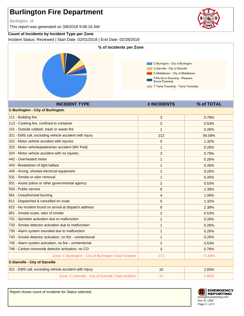Burlington, IA

This report was generated on 3/8/2018 9:06:16 AM

#### **Count of Incidents by Incident Type per Zone**

Incident Status: Reviewed | Start Date: 02/01/2018 | End Date: 02/28/2018



| <b>INCIDENT TYPE</b>                                     | # INCIDENTS    | % of TOTAL |
|----------------------------------------------------------|----------------|------------|
| <b>C-Burlington - City of Burlington</b>                 |                |            |
| 111 - Building fire                                      | 3              | 0.79%      |
| 113 - Cooking fire, confined to container                | $\overline{2}$ | 0.53%      |
| 151 - Outside rubbish, trash or waste fire               | 1              | 0.26%      |
| 321 - EMS call, excluding vehicle accident with injury   | 212            | 56.08%     |
| 322 - Motor vehicle accident with injuries               | 5              | 1.32%      |
| 323 - Motor vehicle/pedestrian accident (MV Ped)         | 1              | 0.26%      |
| 324 - Motor vehicle accident with no injuries.           | 3              | 0.79%      |
| 442 - Overheated motor                                   | 1              | 0.26%      |
| 443 - Breakdown of light ballast                         | 1              | 0.26%      |
| 445 - Arcing, shorted electrical equipment               | 1              | 0.26%      |
| 531 - Smoke or odor removal                              | 1              | 0.26%      |
| 551 - Assist police or other governmental agency         | $\overline{2}$ | 0.53%      |
| 553 - Public service                                     | 9              | 2.38%      |
| 561 - Unauthorized burning                               | 4              | 1.06%      |
| 611 - Dispatched & cancelled en route                    | 5              | 1.32%      |
| 622 - No incident found on arrival at dispatch address   | 9              | 2.38%      |
| 651 - Smoke scare, odor of smoke                         | $\overline{2}$ | 0.53%      |
| 731 - Sprinkler activation due to malfunction            | 1              | 0.26%      |
| 733 - Smoke detector activation due to malfunction       | 1              | 0.26%      |
| 735 - Alarm system sounded due to malfunction            | 1              | 0.26%      |
| 743 - Smoke detector activation, no fire - unintentional | 1              | 0.26%      |
| 745 - Alarm system activation, no fire - unintentional   | 2              | 0.53%      |
| 746 - Carbon monoxide detector activation, no CO         | 3              | 0.79%      |
| Zone: C-Burlington - City of Burlington Total Incident:  | 271            | 71.69%     |
| <b>C-Danville - City of Danville</b>                     |                |            |
| 321 - EMS call, excluding vehicle accident with injury   | 10             | 2.65%      |
| Zone: C-Danville - City of Danville Total Incident:      | 10             | 2.65%      |

Report shows count of incidents for Status selected.



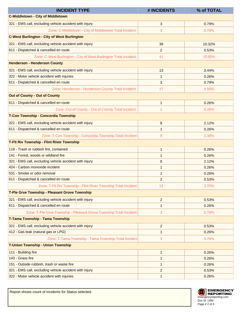| <b>INCIDENT TYPE</b>                                                | # INCIDENTS    | % of TOTAL |
|---------------------------------------------------------------------|----------------|------------|
| <b>C-Middletown - City of Middletown</b>                            |                |            |
| 321 - EMS call, excluding vehicle accident with injury              | 3              | 0.79%      |
| Zone: C-Middletown - City of Middletown Total Incident:             | 3              | 0.79%      |
| <b>C-West Burlington - City of West Burlington</b>                  |                |            |
| 321 - EMS call, excluding vehicle accident with injury              | 39             | 10.32%     |
| 611 - Dispatched & cancelled en route                               | $\overline{2}$ | 0.53%      |
| Zone: C-West Burlington - City of West Burlington Total Incident:   | 41             | 10.85%     |
| <b>Henderson - Henderson County</b>                                 |                |            |
| 321 - EMS call, excluding vehicle accident with injury              | 13             | 3.44%      |
| 322 - Motor vehicle accident with injuries                          | 1              | 0.26%      |
| 611 - Dispatched & cancelled en route                               | 3              | 0.79%      |
| Zone: Henderson - Henderson County Total Incident:                  | 17             | 4.50%      |
| <b>Out of County - Out of County</b>                                |                |            |
| 611 - Dispatched & cancelled en route                               | $\mathbf{1}$   | 0.26%      |
| Zone: Out of County - Out of County Total Incident:                 | 1              | 0.26%      |
| T-Con Township - Concordia Township                                 |                |            |
| 321 - EMS call, excluding vehicle accident with injury              | 8              | 2.12%      |
| 611 - Dispatched & cancelled en route                               | 1              | 0.26%      |
| Zone: T-Con Township - Concordia Township Total Incident:           | 9              | 2.38%      |
| <b>T-Fit Riv Township - Flint River Township</b>                    |                |            |
| 118 - Trash or rubbish fire, contained                              | $\mathbf{1}$   | 0.26%      |
| 141 - Forest, woods or wildland fire                                | 1              | 0.26%      |
| 321 - EMS call, excluding vehicle accident with injury              | 8              | 2.12%      |
| 424 - Carbon monoxide incident                                      | 1              | 0.26%      |
| 531 - Smoke or odor removal                                         | $\mathbf{1}$   | 0.26%      |
| 611 - Dispatched & cancelled en route                               | $\overline{2}$ | 0.53%      |
| Zone: T-Flt Riv Township - Flint River Township Total Incident:     | 14             | 3.70%      |
| T-Ple Grve Township - Pleasant Grove Township                       |                |            |
| 321 - EMS call, excluding vehicle accident with injury              | $\overline{2}$ | 0.53%      |
| 611 - Dispatched & cancelled en route                               | $\mathbf{1}$   | 0.26%      |
| Zone: T-Ple Grve Township - Pleasant Grove Township Total Incident: | 3              | 0.79%      |
| T-Tama Township - Tama Township                                     |                |            |
| 321 - EMS call, excluding vehicle accident with injury              | $\overline{2}$ | 0.53%      |
| 412 - Gas leak (natural gas or LPG)                                 | 1              | 0.26%      |
| Zone: T-Tama Township - Tama Township Total Incident                | 3              | 0.79%      |
| <b>T-Union Township - Union Township</b>                            |                |            |
| 111 - Building fire                                                 | $\mathbf{1}$   | 0.26%      |
| 143 - Grass fire                                                    | $\mathbf{1}$   | 0.26%      |
| 151 - Outside rubbish, trash or waste fire                          | $\mathbf{1}$   | 0.26%      |
| 321 - EMS call, excluding vehicle accident with injury              | $\overline{c}$ | 0.53%      |
| 322 - Motor vehicle accident with injuries                          | $\mathbf{1}$   | 0.26%      |

Report shows count of incidents for Status selected.

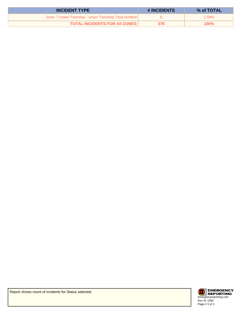| <b>INCIDENT TYPE</b>                                    | # INCIDENTS | % of TOTAL |
|---------------------------------------------------------|-------------|------------|
| Zone: T-Union Township - Union Township Total Incident: |             | $1.59\%$   |
| <b>TOTAL INCIDENTS FOR AII ZONES:</b>                   | 378         | 100%       |



Report shows count of incidents for Status selected.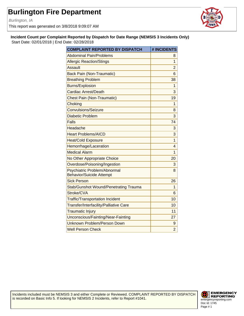Burlington, IA

This report was generated on 3/8/2018 9:09:07 AM



**Incident Count per Complaint Reported by Dispatch for Date Range (NEMSIS 3 Incidents Only)** Start Date: 02/01/2018 | End Date: 02/28/2018

| <b>COMPLAINT REPORTED BY DISPATCH</b>                           | # INCIDENTS    |
|-----------------------------------------------------------------|----------------|
| <b>Abdominal Pain/Problems</b>                                  | 8              |
| <b>Allergic Reaction/Stings</b>                                 | $\overline{1}$ |
| <b>Assault</b>                                                  | $\overline{2}$ |
| <b>Back Pain (Non-Traumatic)</b>                                | 6              |
| <b>Breathing Problem</b>                                        | 38             |
| <b>Burns/Explosion</b>                                          | 1              |
| Cardiac Arrest/Death                                            | 3              |
| <b>Chest Pain (Non-Traumatic)</b>                               | 19             |
| Choking                                                         | 1              |
| <b>Convulsions/Seizure</b>                                      | 8              |
| <b>Diabetic Problem</b>                                         | 3              |
| Falls                                                           | 74             |
| Headache                                                        | 3              |
| <b>Heart Problems/AICD</b>                                      | 3              |
| <b>Heat/Cold Exposure</b>                                       | $\overline{1}$ |
| Hemorrhage/Laceration                                           | 4              |
| <b>Medical Alarm</b>                                            | $\overline{1}$ |
| No Other Appropriate Choice                                     | 20             |
| Overdose/Poisoning/Ingestion                                    | 3              |
| Psychiatric Problem/Abnormal<br><b>Behavior/Suicide Attempt</b> | 8              |
| <b>Sick Person</b>                                              | 26             |
| <b>Stab/Gunshot Wound/Penetrating Trauma</b>                    | 1              |
| Stroke/CVA                                                      | 6              |
| <b>Traffic/Transportation Incident</b>                          | 10             |
| Transfer/Interfacility/Palliative Care                          | 10             |
| <b>Traumatic Injury</b>                                         | 11             |
| Unconscious/Fainting/Near-Fainting                              | 27             |
| Unknown Problem/Person Down                                     | 9              |
| <b>Well Person Check</b>                                        | $\overline{2}$ |

Incidents included must be NEMSIS 3 and either Complete or Reviewed. COMPLAINT REPORTED BY DISPATCH is recorded on Basic Info 5. If looking for NEMSIS 2 Incidents, refer to Report #1041.

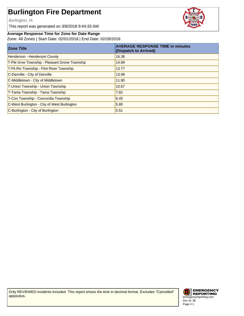Burlington, IA

This report was generated on 3/8/2018 9:44:33 AM

#### **Average Response Time for Zone for Date Range**

Zone: All Zones | Start Date: 02/01/2018 | End Date: 02/28/2018

| <b>Zone Title</b>                             | <b>AVERAGE RESPONSE TIME in minutes</b><br>(Dispatch to Arrived) |
|-----------------------------------------------|------------------------------------------------------------------|
| Henderson - Henderson County                  | 16.38                                                            |
| T-Ple Grve Township - Pleasant Grove Township | 14.89                                                            |
| T-FIt Riv Township - Flint River Township     | 13.77                                                            |
| C-Danville - City of Danville                 | 13.08                                                            |
| C-Middletown - City of Middletown             | 11.90                                                            |
| T-Union Township - Union Township             | 10.67                                                            |
| T-Tama Township - Tama Township               | 7.82                                                             |
| T-Con Township - Concordia Township           | 6.45                                                             |
| C-West Burlington - City of West Burlington   | 5.80                                                             |
| C-Burlington - City of Burlington             | 5.51                                                             |

Only REVIEWED incidents included This report shows the time in decimal format. Excludes "Cancelled" apparatus.